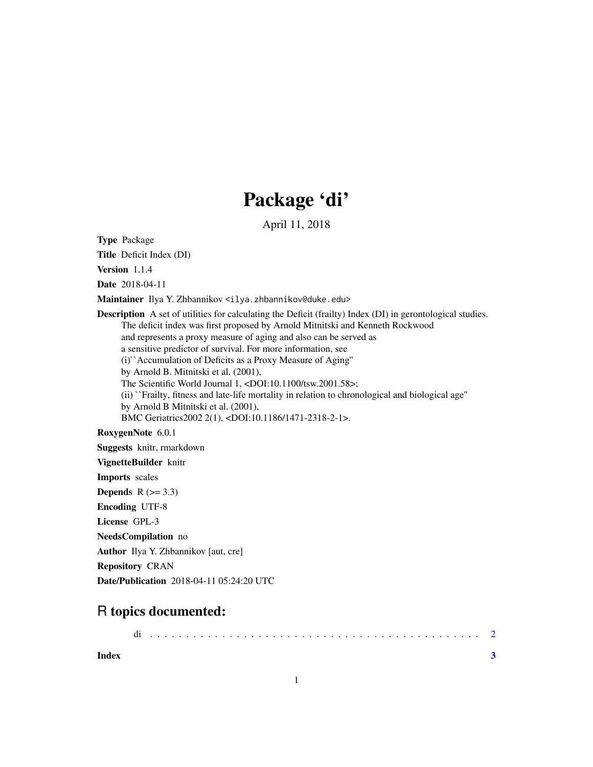## Package 'di'

April 11, 2018

Type Package

Title Deficit Index (DI)

Version 1.1.4

Date 2018-04-11

Maintainer Ilya Y. Zhbannikov <ilya.zhbannikov@duke.edu>

Description A set of utilities for calculating the Deficit (frailty) Index (DI) in gerontological studies. The deficit index was first proposed by Arnold Mitnitski and Kenneth Rockwood and represents a proxy measure of aging and also can be served as a sensitive predictor of survival. For more information, see (i)``Accumulation of Deficits as a Proxy Measure of Aging'' by Arnold B. Mitnitski et al. (2001), The Scientific World Journal 1, <DOI:10.1100/tsw.2001.58>; (ii) ``Frailty, fitness and late-life mortality in relation to chronological and biological age'' by Arnold B Mitnitski et al. (2001), BMC Geriatrics2002 2(1), <DOI:10.1186/1471-2318-2-1>.

RoxygenNote 6.0.1

Suggests knitr, rmarkdown

VignetteBuilder knitr

Imports scales

Depends  $R$  ( $>= 3.3$ )

Encoding UTF-8

License GPL-3

NeedsCompilation no

Author Ilya Y. Zhbannikov [aut, cre]

Repository CRAN

Date/Publication 2018-04-11 05:24:20 UTC

### R topics documented:

**Index** [3](#page-2-0)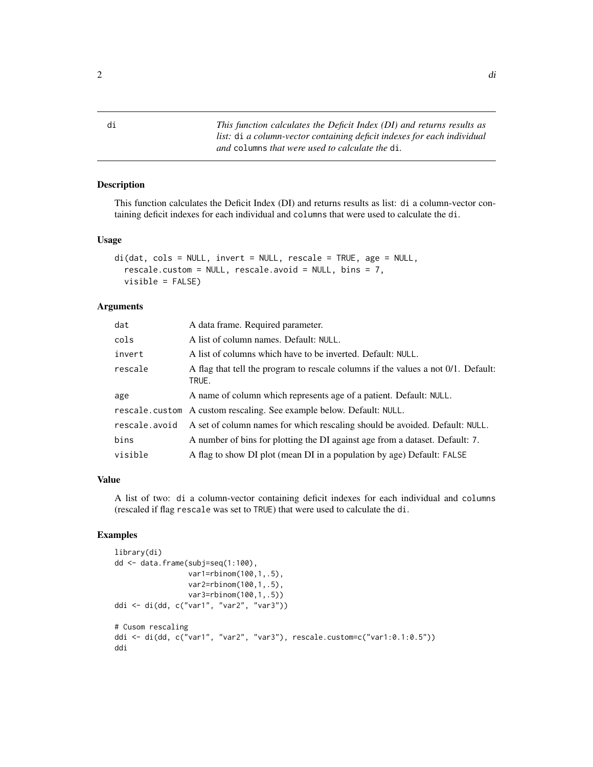#### Description

This function calculates the Deficit Index (DI) and returns results as list: di a column-vector containing deficit indexes for each individual and columns that were used to calculate the di.

#### Usage

```
di(dat, cols = NULL, invert = NULL, rescale = TRUE, age = NULL,
  rescale.custom = NULL, rescale.avoid = NULL, bins = 7,
  visible = FALSE)
```
#### Arguments

| dat           | A data frame. Required parameter.                                                          |
|---------------|--------------------------------------------------------------------------------------------|
| cols          | A list of column names. Default: NULL.                                                     |
| invert        | A list of columns which have to be inverted. Default: NULL.                                |
| rescale       | A flag that tell the program to rescale columns if the values a not 0/1. Default:<br>TRUE. |
| age           | A name of column which represents age of a patient. Default: NULL.                         |
|               | rescale.custom A custom rescaling. See example below. Default: NULL.                       |
| rescale.avoid | A set of column names for which rescaling should be avoided. Default: NULL.                |
| bins          | A number of bins for plotting the DI against age from a dataset. Default: 7.               |
| visible       | A flag to show DI plot (mean DI in a population by age) Default: FALSE                     |

#### Value

A list of two: di a column-vector containing deficit indexes for each individual and columns (rescaled if flag rescale was set to TRUE) that were used to calculate the di.

#### Examples

```
library(di)
dd <- data.frame(subj=seq(1:100),
                 var1=rbinom(100,1,.5),
                 var2=rbinom(100,1,.5),
                 var3=rbinom(100,1,.5))
ddi <- di(dd, c("var1", "var2", "var3"))
# Cusom rescaling
ddi <- di(dd, c("var1", "var2", "var3"), rescale.custom=c("var1:0.1:0.5"))
ddi
```
<span id="page-1-0"></span>